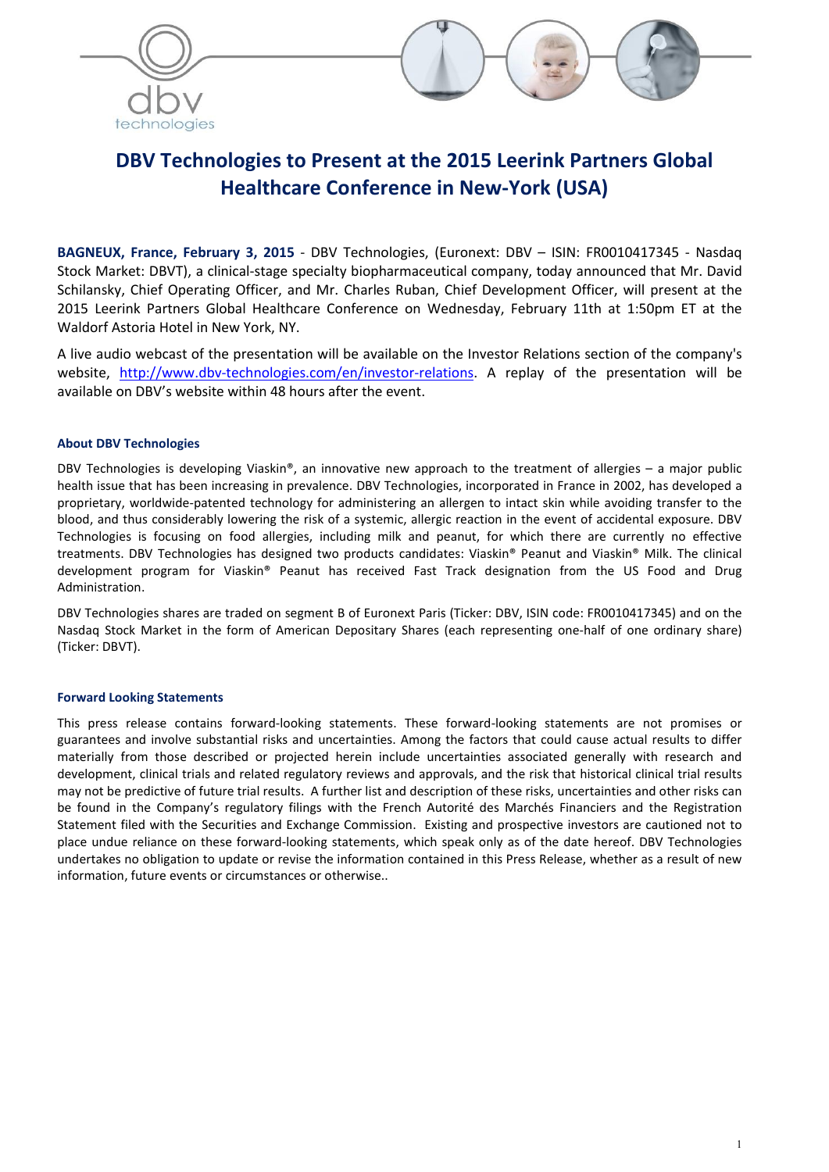

# DBV Technologies to Present at the 2015 Leerink Partners Global Healthcare Conference in New-York (USA)

BAGNEUX, France, February 3, 2015 - DBV Technologies, (Euronext: DBV – ISIN: FR0010417345 - Nasdaq Stock Market: DBVT), a clinical-stage specialty biopharmaceutical company, today announced that Mr. David Schilansky, Chief Operating Officer, and Mr. Charles Ruban, Chief Development Officer, will present at the 2015 Leerink Partners Global Healthcare Conference on Wednesday, February 11th at 1:50pm ET at the Waldorf Astoria Hotel in New York, NY.

A live audio webcast of the presentation will be available on the Investor Relations section of the company's website, http://www.dbv-technologies.com/en/investor-relations. A replay of the presentation will be available on DBV's website within 48 hours after the event.

### About DBV Technologies

DBV Technologies is developing Viaskin®, an innovative new approach to the treatment of allergies – a major public health issue that has been increasing in prevalence. DBV Technologies, incorporated in France in 2002, has developed a proprietary, worldwide-patented technology for administering an allergen to intact skin while avoiding transfer to the blood, and thus considerably lowering the risk of a systemic, allergic reaction in the event of accidental exposure. DBV Technologies is focusing on food allergies, including milk and peanut, for which there are currently no effective treatments. DBV Technologies has designed two products candidates: Viaskin® Peanut and Viaskin® Milk. The clinical development program for Viaskin® Peanut has received Fast Track designation from the US Food and Drug Administration.

DBV Technologies shares are traded on segment B of Euronext Paris (Ticker: DBV, ISIN code: FR0010417345) and on the Nasdaq Stock Market in the form of American Depositary Shares (each representing one-half of one ordinary share) (Ticker: DBVT).

#### Forward Looking Statements

This press release contains forward-looking statements. These forward-looking statements are not promises or guarantees and involve substantial risks and uncertainties. Among the factors that could cause actual results to differ materially from those described or projected herein include uncertainties associated generally with research and development, clinical trials and related regulatory reviews and approvals, and the risk that historical clinical trial results may not be predictive of future trial results. A further list and description of these risks, uncertainties and other risks can be found in the Company's regulatory filings with the French Autorité des Marchés Financiers and the Registration Statement filed with the Securities and Exchange Commission. Existing and prospective investors are cautioned not to place undue reliance on these forward-looking statements, which speak only as of the date hereof. DBV Technologies undertakes no obligation to update or revise the information contained in this Press Release, whether as a result of new information, future events or circumstances or otherwise..